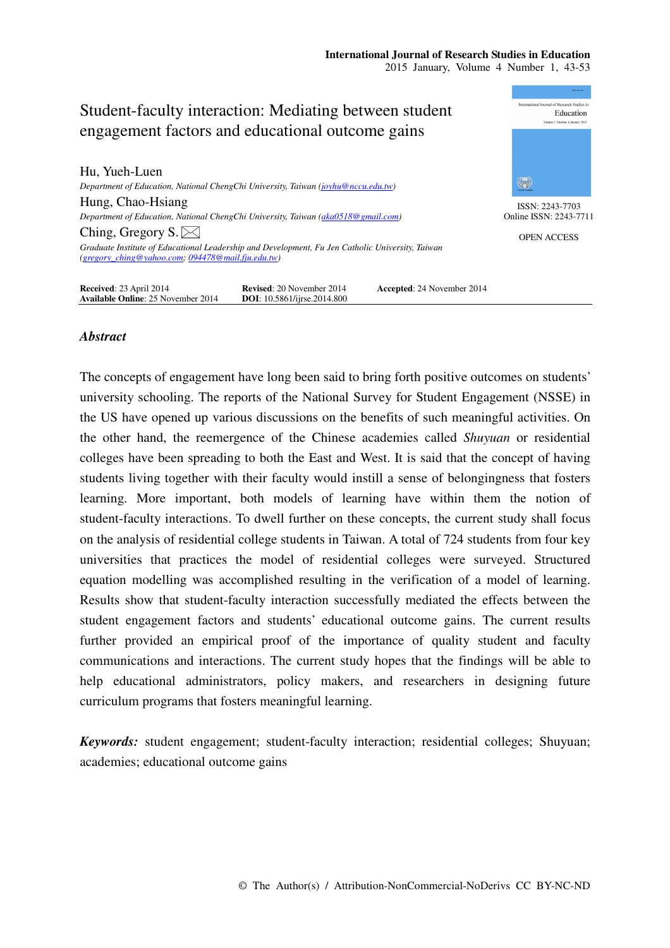#### **International Journal of Research Studies in Education**  2015 January, Volume 4 Number 1, 43-53



# *Abstract*

The concepts of engagement have long been said to bring forth positive outcomes on students' university schooling. The reports of the National Survey for Student Engagement (NSSE) in the US have opened up various discussions on the benefits of such meaningful activities. On the other hand, the reemergence of the Chinese academies called *Shuyuan* or residential colleges have been spreading to both the East and West. It is said that the concept of having students living together with their faculty would instill a sense of belongingness that fosters learning. More important, both models of learning have within them the notion of student-faculty interactions. To dwell further on these concepts, the current study shall focus on the analysis of residential college students in Taiwan. A total of 724 students from four key universities that practices the model of residential colleges were surveyed. Structured equation modelling was accomplished resulting in the verification of a model of learning. Results show that student-faculty interaction successfully mediated the effects between the student engagement factors and students' educational outcome gains. The current results further provided an empirical proof of the importance of quality student and faculty communications and interactions. The current study hopes that the findings will be able to help educational administrators, policy makers, and researchers in designing future curriculum programs that fosters meaningful learning.

*Keywords:* student engagement; student-faculty interaction; residential colleges; Shuyuan; academies; educational outcome gains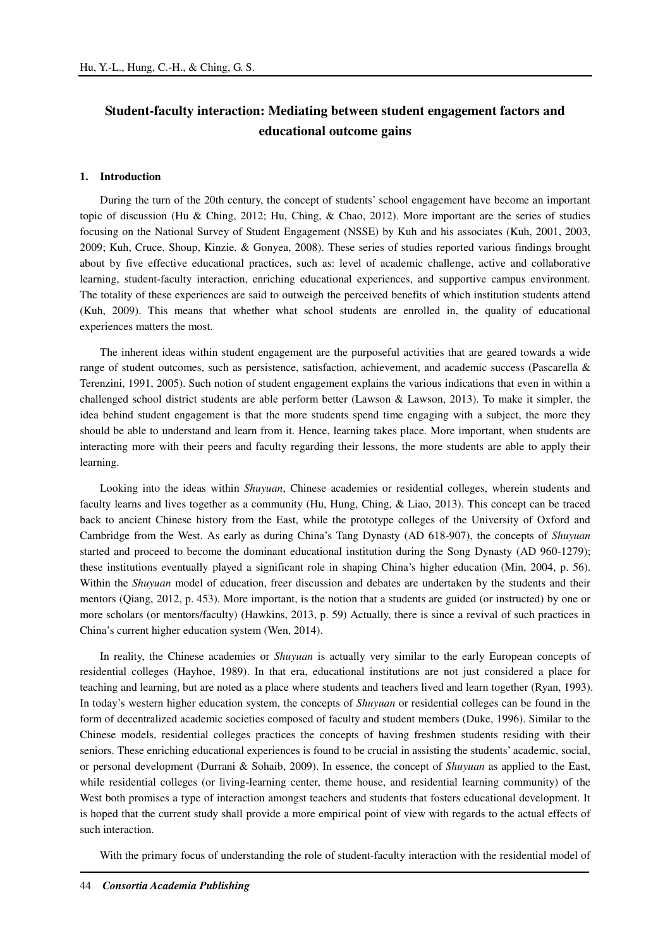# **Student-faculty interaction: Mediating between student engagement factors and educational outcome gains**

#### **1. Introduction**

During the turn of the 20th century, the concept of students' school engagement have become an important topic of discussion (Hu & Ching, 2012; Hu, Ching, & Chao, 2012). More important are the series of studies focusing on the National Survey of Student Engagement (NSSE) by Kuh and his associates (Kuh, 2001, 2003, 2009; Kuh, Cruce, Shoup, Kinzie, & Gonyea, 2008). These series of studies reported various findings brought about by five effective educational practices, such as: level of academic challenge, active and collaborative learning, student-faculty interaction, enriching educational experiences, and supportive campus environment. The totality of these experiences are said to outweigh the perceived benefits of which institution students attend (Kuh, 2009). This means that whether what school students are enrolled in, the quality of educational experiences matters the most.

The inherent ideas within student engagement are the purposeful activities that are geared towards a wide range of student outcomes, such as persistence, satisfaction, achievement, and academic success (Pascarella & Terenzini, 1991, 2005). Such notion of student engagement explains the various indications that even in within a challenged school district students are able perform better (Lawson & Lawson, 2013). To make it simpler, the idea behind student engagement is that the more students spend time engaging with a subject, the more they should be able to understand and learn from it. Hence, learning takes place. More important, when students are interacting more with their peers and faculty regarding their lessons, the more students are able to apply their learning.

Looking into the ideas within *Shuyuan*, Chinese academies or residential colleges, wherein students and faculty learns and lives together as a community (Hu, Hung, Ching, & Liao, 2013). This concept can be traced back to ancient Chinese history from the East, while the prototype colleges of the University of Oxford and Cambridge from the West. As early as during China's Tang Dynasty (AD 618-907), the concepts of *Shuyuan* started and proceed to become the dominant educational institution during the Song Dynasty (AD 960-1279); these institutions eventually played a significant role in shaping China's higher education (Min, 2004, p. 56). Within the *Shuyuan* model of education, freer discussion and debates are undertaken by the students and their mentors (Qiang, 2012, p. 453). More important, is the notion that a students are guided (or instructed) by one or more scholars (or mentors/faculty) (Hawkins, 2013, p. 59) Actually, there is since a revival of such practices in China's current higher education system (Wen, 2014).

In reality, the Chinese academies or *Shuyuan* is actually very similar to the early European concepts of residential colleges (Hayhoe, 1989). In that era, educational institutions are not just considered a place for teaching and learning, but are noted as a place where students and teachers lived and learn together (Ryan, 1993). In today's western higher education system, the concepts of *Shuyuan* or residential colleges can be found in the form of decentralized academic societies composed of faculty and student members (Duke, 1996). Similar to the Chinese models, residential colleges practices the concepts of having freshmen students residing with their seniors. These enriching educational experiences is found to be crucial in assisting the students' academic, social, or personal development (Durrani & Sohaib, 2009). In essence, the concept of *Shuyuan* as applied to the East, while residential colleges (or living-learning center, theme house, and residential learning community) of the West both promises a type of interaction amongst teachers and students that fosters educational development. It is hoped that the current study shall provide a more empirical point of view with regards to the actual effects of such interaction.

With the primary focus of understanding the role of student-faculty interaction with the residential model of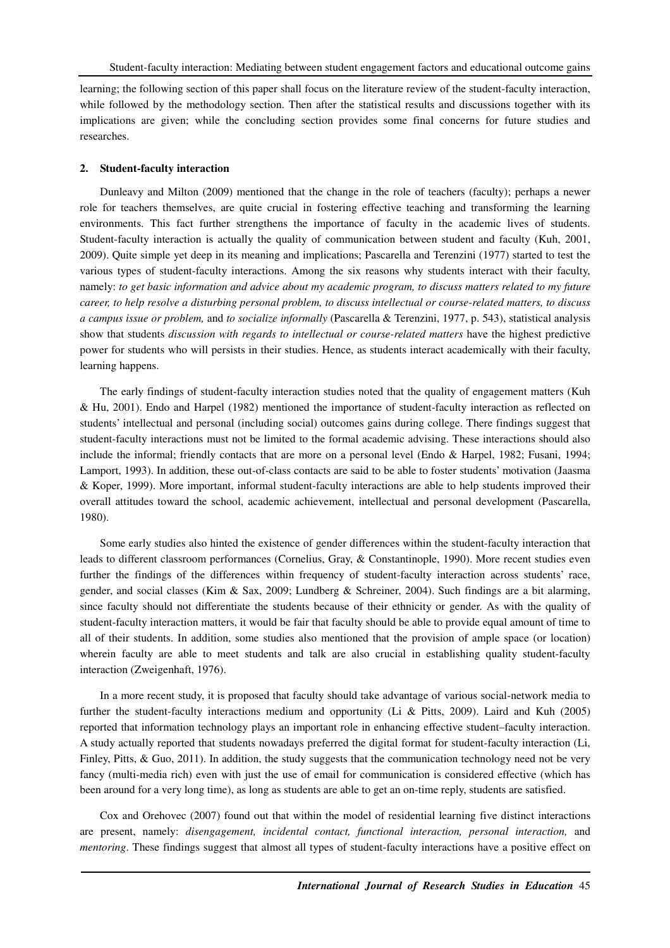learning; the following section of this paper shall focus on the literature review of the student-faculty interaction, while followed by the methodology section. Then after the statistical results and discussions together with its implications are given; while the concluding section provides some final concerns for future studies and researches.

#### **2. Student-faculty interaction**

Dunleavy and Milton (2009) mentioned that the change in the role of teachers (faculty); perhaps a newer role for teachers themselves, are quite crucial in fostering effective teaching and transforming the learning environments. This fact further strengthens the importance of faculty in the academic lives of students. Student-faculty interaction is actually the quality of communication between student and faculty (Kuh, 2001, 2009). Quite simple yet deep in its meaning and implications; Pascarella and Terenzini (1977) started to test the various types of student-faculty interactions. Among the six reasons why students interact with their faculty, namely: *to get basic information and advice about my academic program, to discuss matters related to my future career, to help resolve a disturbing personal problem, to discuss intellectual or course-related matters, to discuss a campus issue or problem,* and *to socialize informally* (Pascarella & Terenzini, 1977, p. 543), statistical analysis show that students *discussion with regards to intellectual or course-related matters* have the highest predictive power for students who will persists in their studies. Hence, as students interact academically with their faculty, learning happens.

The early findings of student-faculty interaction studies noted that the quality of engagement matters (Kuh & Hu, 2001). Endo and Harpel (1982) mentioned the importance of student-faculty interaction as reflected on students' intellectual and personal (including social) outcomes gains during college. There findings suggest that student-faculty interactions must not be limited to the formal academic advising. These interactions should also include the informal; friendly contacts that are more on a personal level (Endo & Harpel, 1982; Fusani, 1994; Lamport, 1993). In addition, these out-of-class contacts are said to be able to foster students' motivation (Jaasma & Koper, 1999). More important, informal student-faculty interactions are able to help students improved their overall attitudes toward the school, academic achievement, intellectual and personal development (Pascarella, 1980).

Some early studies also hinted the existence of gender differences within the student-faculty interaction that leads to different classroom performances (Cornelius, Gray, & Constantinople, 1990). More recent studies even further the findings of the differences within frequency of student-faculty interaction across students' race, gender, and social classes (Kim & Sax, 2009; Lundberg & Schreiner, 2004). Such findings are a bit alarming, since faculty should not differentiate the students because of their ethnicity or gender. As with the quality of student-faculty interaction matters, it would be fair that faculty should be able to provide equal amount of time to all of their students. In addition, some studies also mentioned that the provision of ample space (or location) wherein faculty are able to meet students and talk are also crucial in establishing quality student-faculty interaction (Zweigenhaft, 1976).

In a more recent study, it is proposed that faculty should take advantage of various social-network media to further the student-faculty interactions medium and opportunity (Li & Pitts, 2009). Laird and Kuh (2005) reported that information technology plays an important role in enhancing effective student–faculty interaction. A study actually reported that students nowadays preferred the digital format for student-faculty interaction (Li, Finley, Pitts, & Guo, 2011). In addition, the study suggests that the communication technology need not be very fancy (multi-media rich) even with just the use of email for communication is considered effective (which has been around for a very long time), as long as students are able to get an on-time reply, students are satisfied.

Cox and Orehovec (2007) found out that within the model of residential learning five distinct interactions are present, namely: *disengagement, incidental contact, functional interaction, personal interaction,* and *mentoring*. These findings suggest that almost all types of student-faculty interactions have a positive effect on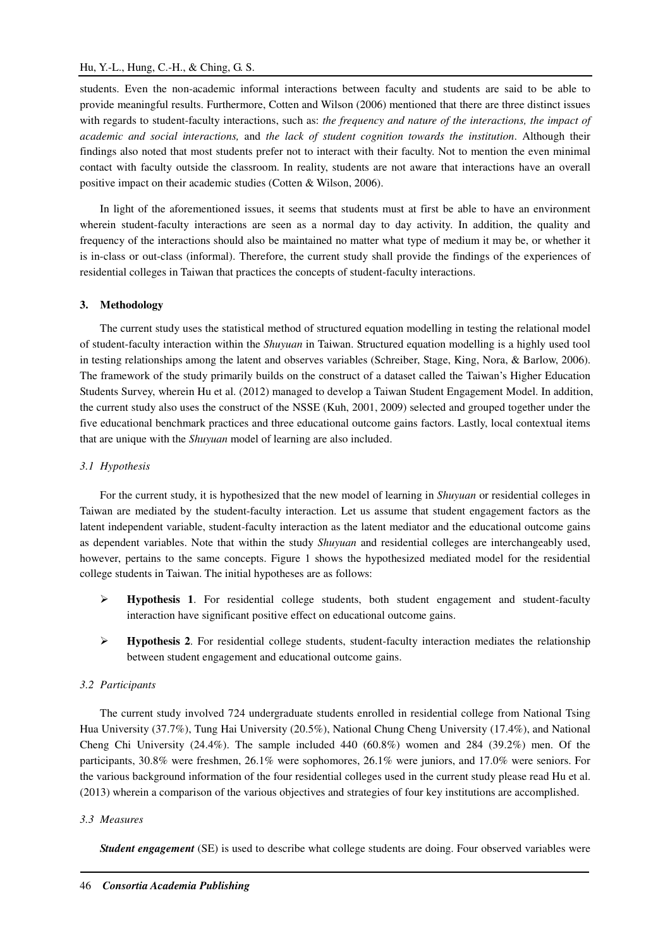# Hu, Y.-L., Hung, C.-H., & Ching, G. S.

students. Even the non-academic informal interactions between faculty and students are said to be able to provide meaningful results. Furthermore, Cotten and Wilson (2006) mentioned that there are three distinct issues with regards to student-faculty interactions, such as: *the frequency and nature of the interactions, the impact of academic and social interactions,* and *the lack of student cognition towards the institution*. Although their findings also noted that most students prefer not to interact with their faculty. Not to mention the even minimal contact with faculty outside the classroom. In reality, students are not aware that interactions have an overall positive impact on their academic studies (Cotten & Wilson, 2006).

In light of the aforementioned issues, it seems that students must at first be able to have an environment wherein student-faculty interactions are seen as a normal day to day activity. In addition, the quality and frequency of the interactions should also be maintained no matter what type of medium it may be, or whether it is in-class or out-class (informal). Therefore, the current study shall provide the findings of the experiences of residential colleges in Taiwan that practices the concepts of student-faculty interactions.

# **3. Methodology**

The current study uses the statistical method of structured equation modelling in testing the relational model of student-faculty interaction within the *Shuyuan* in Taiwan. Structured equation modelling is a highly used tool in testing relationships among the latent and observes variables (Schreiber, Stage, King, Nora, & Barlow, 2006). The framework of the study primarily builds on the construct of a dataset called the Taiwan's Higher Education Students Survey, wherein Hu et al. (2012) managed to develop a Taiwan Student Engagement Model. In addition, the current study also uses the construct of the NSSE (Kuh, 2001, 2009) selected and grouped together under the five educational benchmark practices and three educational outcome gains factors. Lastly, local contextual items that are unique with the *Shuyuan* model of learning are also included.

## *3.1 Hypothesis*

For the current study, it is hypothesized that the new model of learning in *Shuyuan* or residential colleges in Taiwan are mediated by the student-faculty interaction. Let us assume that student engagement factors as the latent independent variable, student-faculty interaction as the latent mediator and the educational outcome gains as dependent variables. Note that within the study *Shuyuan* and residential colleges are interchangeably used, however, pertains to the same concepts. Figure 1 shows the hypothesized mediated model for the residential college students in Taiwan. The initial hypotheses are as follows:

- **Hypothesis 1**. For residential college students, both student engagement and student-faculty interaction have significant positive effect on educational outcome gains.
- **►** Hypothesis 2. For residential college students, student-faculty interaction mediates the relationship between student engagement and educational outcome gains.

## *3.2 Participants*

The current study involved 724 undergraduate students enrolled in residential college from National Tsing Hua University (37.7%), Tung Hai University (20.5%), National Chung Cheng University (17.4%), and National Cheng Chi University (24.4%). The sample included 440 (60.8%) women and 284 (39.2%) men. Of the participants, 30.8% were freshmen, 26.1% were sophomores, 26.1% were juniors, and 17.0% were seniors. For the various background information of the four residential colleges used in the current study please read Hu et al. (2013) wherein a comparison of the various objectives and strategies of four key institutions are accomplished.

# *3.3 Measures*

*Student engagement* (SE) is used to describe what college students are doing. Four observed variables were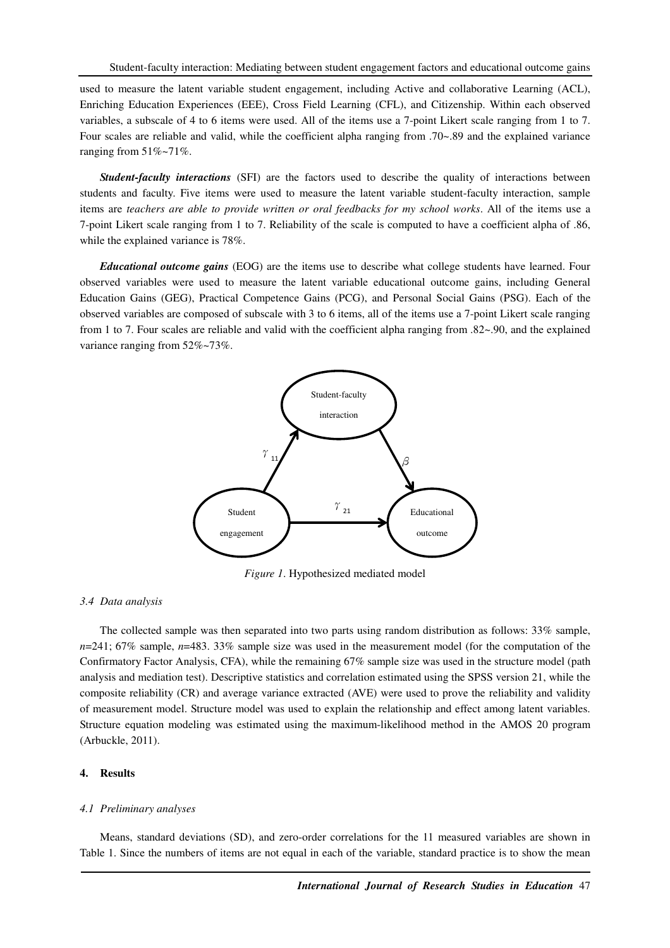used to measure the latent variable student engagement, including Active and collaborative Learning (ACL), Enriching Education Experiences (EEE), Cross Field Learning (CFL), and Citizenship. Within each observed variables, a subscale of 4 to 6 items were used. All of the items use a 7-point Likert scale ranging from 1 to 7. Four scales are reliable and valid, while the coefficient alpha ranging from .70~.89 and the explained variance ranging from  $51\%$ ~71%.

*Student-faculty interactions* (SFI) are the factors used to describe the quality of interactions between students and faculty. Five items were used to measure the latent variable student-faculty interaction, sample items are *teachers are able to provide written or oral feedbacks for my school works*. All of the items use a 7-point Likert scale ranging from 1 to 7. Reliability of the scale is computed to have a coefficient alpha of .86, while the explained variance is 78%.

*Educational outcome gains* (EOG) are the items use to describe what college students have learned. Four observed variables were used to measure the latent variable educational outcome gains, including General Education Gains (GEG), Practical Competence Gains (PCG), and Personal Social Gains (PSG). Each of the observed variables are composed of subscale with 3 to 6 items, all of the items use a 7-point Likert scale ranging from 1 to 7. Four scales are reliable and valid with the coefficient alpha ranging from .82~.90, and the explained variance ranging from  $52\%$ ~73%.



*Figure 1*. Hypothesized mediated model

#### *3.4 Data analysis*

The collected sample was then separated into two parts using random distribution as follows: 33% sample, *n*=241; 67% sample, *n*=483. 33% sample size was used in the measurement model (for the computation of the Confirmatory Factor Analysis, CFA), while the remaining 67% sample size was used in the structure model (path analysis and mediation test). Descriptive statistics and correlation estimated using the SPSS version 21, while the composite reliability (CR) and average variance extracted (AVE) were used to prove the reliability and validity of measurement model. Structure model was used to explain the relationship and effect among latent variables. Structure equation modeling was estimated using the maximum-likelihood method in the AMOS 20 program (Arbuckle, 2011).

#### **4. Results**

#### *4.1 Preliminary analyses*

Means, standard deviations (SD), and zero-order correlations for the 11 measured variables are shown in Table 1. Since the numbers of items are not equal in each of the variable, standard practice is to show the mean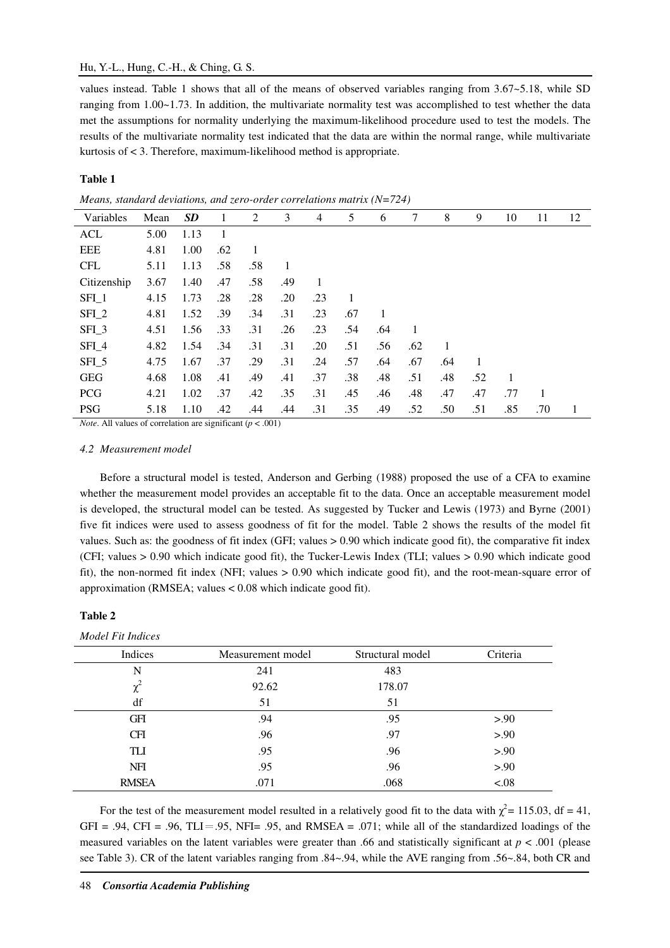### Hu, Y.-L., Hung, C.-H., & Ching, G. S.

values instead. Table 1 shows that all of the means of observed variables ranging from 3.67~5.18, while SD ranging from 1.00~1.73. In addition, the multivariate normality test was accomplished to test whether the data met the assumptions for normality underlying the maximum-likelihood procedure used to test the models. The results of the multivariate normality test indicated that the data are within the normal range, while multivariate kurtosis of < 3. Therefore, maximum-likelihood method is appropriate.

#### **Table 1**

*Means, standard deviations, and zero-order correlations matrix (N=724)* 

| Variables        | Mean | <b>SD</b> | 1   | 2   | 3   | 4   | 5   | 6   | 7   | 8   | 9   | 10  | 11  | 12 |
|------------------|------|-----------|-----|-----|-----|-----|-----|-----|-----|-----|-----|-----|-----|----|
| <b>ACL</b>       | 5.00 | 1.13      | 1   |     |     |     |     |     |     |     |     |     |     |    |
| <b>EEE</b>       | 4.81 | 1.00      | .62 | 1   |     |     |     |     |     |     |     |     |     |    |
| <b>CFL</b>       | 5.11 | 1.13      | .58 | .58 | 1   |     |     |     |     |     |     |     |     |    |
| Citizenship      | 3.67 | 1.40      | .47 | .58 | .49 | 1   |     |     |     |     |     |     |     |    |
| SFI <sub>1</sub> | 4.15 | 1.73      | .28 | .28 | .20 | .23 | 1   |     |     |     |     |     |     |    |
| $SFL_2$          | 4.81 | 1.52      | .39 | .34 | .31 | .23 | .67 | 1   |     |     |     |     |     |    |
| $SFI_3$          | 4.51 | 1.56      | .33 | .31 | .26 | .23 | .54 | .64 | 1   |     |     |     |     |    |
| $SFI_4$          | 4.82 | 1.54      | .34 | .31 | .31 | .20 | .51 | .56 | .62 | 1   |     |     |     |    |
| SFI <sub>5</sub> | 4.75 | 1.67      | .37 | .29 | .31 | .24 | .57 | .64 | .67 | .64 | 1   |     |     |    |
| <b>GEG</b>       | 4.68 | 1.08      | .41 | .49 | .41 | .37 | .38 | .48 | .51 | .48 | .52 | 1   |     |    |
| <b>PCG</b>       | 4.21 | 1.02      | .37 | .42 | .35 | .31 | .45 | .46 | .48 | .47 | .47 | .77 |     |    |
| <b>PSG</b>       | 5.18 | 1.10      | .42 | .44 | .44 | .31 | .35 | .49 | .52 | .50 | .51 | .85 | .70 | 1  |

*Note*. All values of correlation are significant  $(p < .001)$ 

## *4.2 Measurement model*

Before a structural model is tested, Anderson and Gerbing (1988) proposed the use of a CFA to examine whether the measurement model provides an acceptable fit to the data. Once an acceptable measurement model is developed, the structural model can be tested. As suggested by Tucker and Lewis (1973) and Byrne (2001) five fit indices were used to assess goodness of fit for the model. Table 2 shows the results of the model fit values. Such as: the goodness of fit index (GFI; values > 0.90 which indicate good fit), the comparative fit index (CFI; values > 0.90 which indicate good fit), the Tucker-Lewis Index (TLI; values > 0.90 which indicate good fit), the non-normed fit index (NFI; values > 0.90 which indicate good fit), and the root-mean-square error of approximation (RMSEA; values < 0.08 which indicate good fit).

#### **Table 2**

| Model Fit Indices |                   |                  |          |
|-------------------|-------------------|------------------|----------|
| Indices           | Measurement model | Structural model | Criteria |
| N                 | 241               | 483              |          |
| $\chi^2$          | 92.62             | 178.07           |          |
| df                | 51                | 51               |          |
| <b>GFI</b>        | .94               | .95              | > 90     |
| <b>CFI</b>        | .96               | .97              | > 0.90   |
| <b>TLI</b>        | .95               | .96              | > 0.90   |
| <b>NFI</b>        | .95               | .96              | > 0.90   |
| <b>RMSEA</b>      | .071              | .068             | < .08    |

For the test of the measurement model resulted in a relatively good fit to the data with  $\chi^2$  = 115.03, df = 41, GFI = .94, CFI = .96, TLI = .95, NFI = .95, and RMSEA = .071; while all of the standardized loadings of the measured variables on the latent variables were greater than .66 and statistically significant at *p* < .001 (please see Table 3). CR of the latent variables ranging from .84~.94, while the AVE ranging from .56~.84, both CR and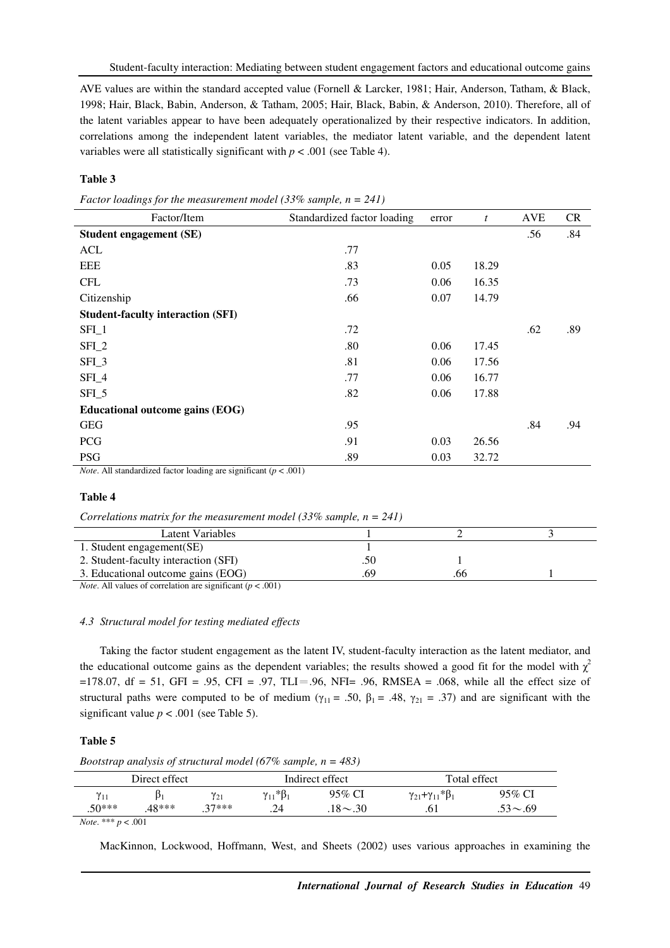AVE values are within the standard accepted value (Fornell & Larcker, 1981; Hair, Anderson, Tatham, & Black, 1998; Hair, Black, Babin, Anderson, & Tatham, 2005; Hair, Black, Babin, & Anderson, 2010). Therefore, all of the latent variables appear to have been adequately operationalized by their respective indicators. In addition, correlations among the independent latent variables, the mediator latent variable, and the dependent latent variables were all statistically significant with  $p < .001$  (see Table 4).

#### **Table 3**

*Factor loadings for the measurement model (33% sample, n = 241)* 

| Factor/Item                              | Standardized factor loading | error | t     | AVE | CR  |
|------------------------------------------|-----------------------------|-------|-------|-----|-----|
| <b>Student engagement (SE)</b>           |                             |       |       | .56 | .84 |
| ACL                                      | .77                         |       |       |     |     |
| <b>EEE</b>                               | .83                         | 0.05  | 18.29 |     |     |
| <b>CFL</b>                               | .73                         | 0.06  | 16.35 |     |     |
| Citizenship                              | .66                         | 0.07  | 14.79 |     |     |
| <b>Student-faculty interaction (SFI)</b> |                             |       |       |     |     |
| $SFI_1$                                  | .72                         |       |       | .62 | .89 |
| $SFI_2$                                  | .80                         | 0.06  | 17.45 |     |     |
| $SFL_3$                                  | .81                         | 0.06  | 17.56 |     |     |
| $SFI_4$                                  | .77                         | 0.06  | 16.77 |     |     |
| $SFI_5$                                  | .82                         | 0.06  | 17.88 |     |     |
| Educational outcome gains (EOG)          |                             |       |       |     |     |
| <b>GEG</b>                               | .95                         |       |       | .84 | .94 |
| <b>PCG</b>                               | .91                         | 0.03  | 26.56 |     |     |
| <b>PSG</b>                               | .89                         | 0.03  | 32.72 |     |     |

*Note*. All standardized factor loading are significant ( $p < .001$ )

#### **Table 4**

| Correlations matrix for the measurement model (33% sample, $n = 241$ ) |  |
|------------------------------------------------------------------------|--|
|                                                                        |  |

| Latent Variables                                          |     |    |  |
|-----------------------------------------------------------|-----|----|--|
| 1. Student engagement(SE)                                 |     |    |  |
| 2. Student-faculty interaction (SFI)                      | .50 |    |  |
| 3. Educational outcome gains (EOG)                        | .69 | იი |  |
| $\cdot$ $\sim$<br>$\sim$ 001)<br>$\mathbf{1}$<br>$\cdots$ |     |    |  |

*Note*. All values of correlation are significant (*p* < .001)

#### *4.3 Structural model for testing mediated effects*

Taking the factor student engagement as the latent IV, student-faculty interaction as the latent mediator, and the educational outcome gains as the dependent variables; the results showed a good fit for the model with  $\chi^2$  $=178.07$ , df = 51, GFI = .95, CFI = .97, TLI = .96, NFI = .96, RMSEA = .068, while all the effect size of structural paths were computed to be of medium ( $\gamma_{11} = .50$ ,  $\beta_1 = .48$ ,  $\gamma_{21} = .37$ ) and are significant with the significant value  $p < .001$  (see Table 5).

#### **Table 5**

*Bootstrap analysis of structural model (67% sample, n = 483)* 

|          | Direct effect |          |                         | Indirect effect | Total effect                          |             |  |
|----------|---------------|----------|-------------------------|-----------------|---------------------------------------|-------------|--|
| $v_{11}$ |               | $v_{21}$ | $\gamma_{11} * \beta_1$ | 95% CI          | $\gamma_{21} + \gamma_{11} * \beta_1$ | 95% CI      |  |
| $.50***$ | 48***         | $27***$  | .24                     | $.18 \sim .30$  |                                       | $.53 - .69$ |  |

*Note*. \*\*\* *p* < .001

MacKinnon, Lockwood, Hoffmann, West, and Sheets (2002) uses various approaches in examining the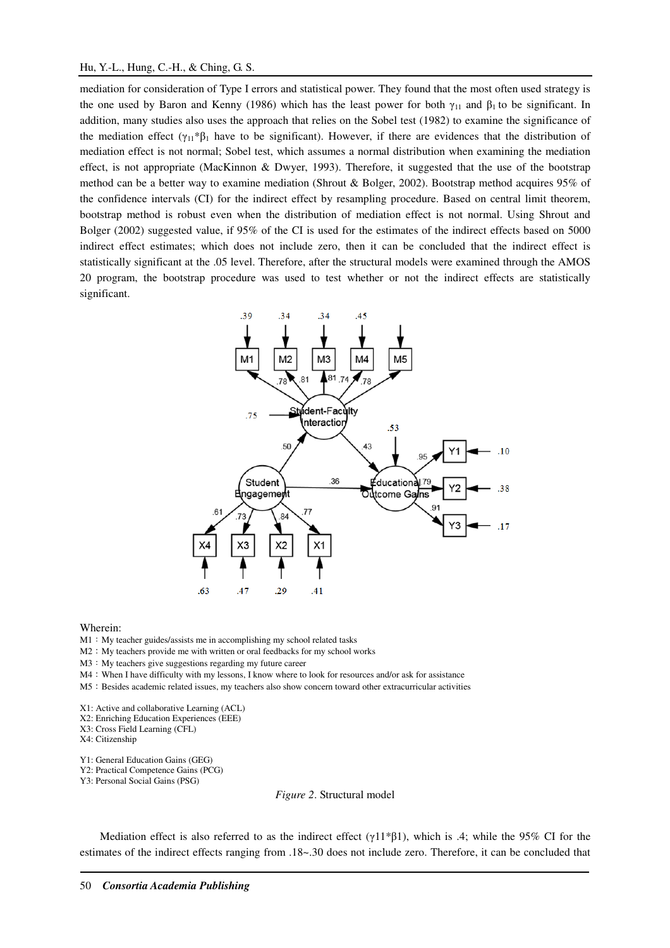### Hu, Y.-L., Hung, C.-H., & Ching, G. S.

mediation for consideration of Type I errors and statistical power. They found that the most often used strategy is the one used by Baron and Kenny (1986) which has the least power for both  $\gamma_{11}$  and  $\beta_1$  to be significant. In addition, many studies also uses the approach that relies on the Sobel test (1982) to examine the significance of the mediation effect ( $\gamma_{11}*\beta_1$  have to be significant). However, if there are evidences that the distribution of mediation effect is not normal; Sobel test, which assumes a normal distribution when examining the mediation effect, is not appropriate (MacKinnon & Dwyer, 1993). Therefore, it suggested that the use of the bootstrap method can be a better way to examine mediation (Shrout & Bolger, 2002). Bootstrap method acquires 95% of the confidence intervals (CI) for the indirect effect by resampling procedure. Based on central limit theorem, bootstrap method is robust even when the distribution of mediation effect is not normal. Using Shrout and Bolger (2002) suggested value, if 95% of the CI is used for the estimates of the indirect effects based on 5000 indirect effect estimates; which does not include zero, then it can be concluded that the indirect effect is statistically significant at the .05 level. Therefore, after the structural models were examined through the AMOS 20 program, the bootstrap procedure was used to test whether or not the indirect effects are statistically significant.



Wherein:

M1: My teacher guides/assists me in accomplishing my school related tasks

M2 : My teachers provide me with written or oral feedbacks for my school works

M3 : My teachers give suggestions regarding my future career

M4: When I have difficulty with my lessons, I know where to look for resources and/or ask for assistance

M5: Besides academic related issues, my teachers also show concern toward other extracurricular activities

X1: Active and collaborative Learning (ACL)

X2: Enriching Education Experiences (EEE)

X3: Cross Field Learning (CFL)

X4: Citizenship

Y1: General Education Gains (GEG)

Y2: Practical Competence Gains (PCG)

Y3: Personal Social Gains (PSG)

*Figure 2*. Structural model

Mediation effect is also referred to as the indirect effect ( $\gamma$ 11\*β1), which is .4; while the 95% CI for the estimates of the indirect effects ranging from .18~.30 does not include zero. Therefore, it can be concluded that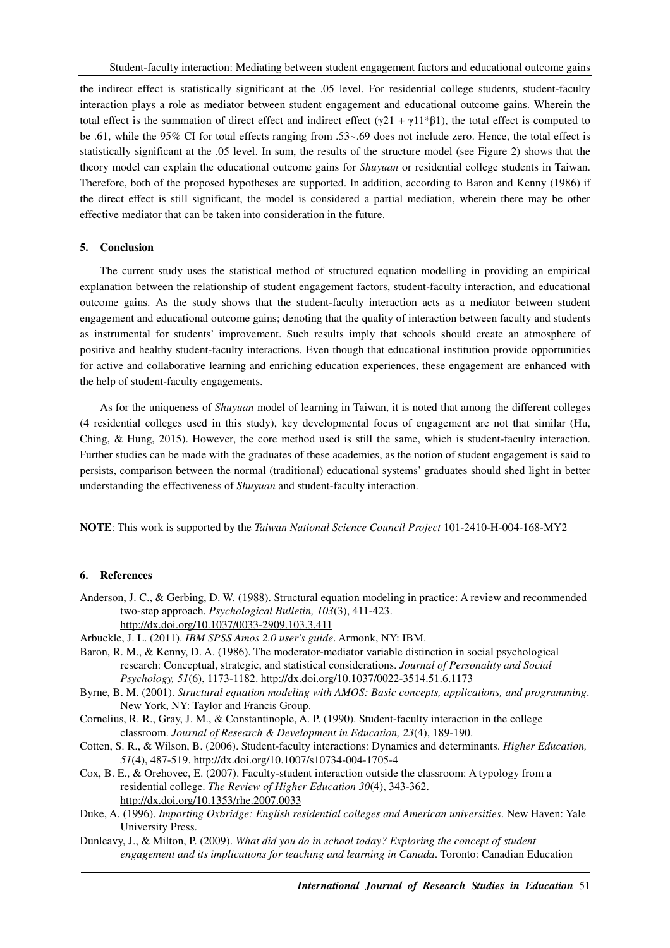the indirect effect is statistically significant at the .05 level. For residential college students, student-faculty interaction plays a role as mediator between student engagement and educational outcome gains. Wherein the total effect is the summation of direct effect and indirect effect ( $\gamma$ 21 +  $\gamma$ 11\*β1), the total effect is computed to be .61, while the 95% CI for total effects ranging from .53~.69 does not include zero. Hence, the total effect is statistically significant at the .05 level. In sum, the results of the structure model (see Figure 2) shows that the theory model can explain the educational outcome gains for *Shuyuan* or residential college students in Taiwan. Therefore, both of the proposed hypotheses are supported. In addition, according to Baron and Kenny (1986) if the direct effect is still significant, the model is considered a partial mediation, wherein there may be other effective mediator that can be taken into consideration in the future.

#### **5. Conclusion**

The current study uses the statistical method of structured equation modelling in providing an empirical explanation between the relationship of student engagement factors, student-faculty interaction, and educational outcome gains. As the study shows that the student-faculty interaction acts as a mediator between student engagement and educational outcome gains; denoting that the quality of interaction between faculty and students as instrumental for students' improvement. Such results imply that schools should create an atmosphere of positive and healthy student-faculty interactions. Even though that educational institution provide opportunities for active and collaborative learning and enriching education experiences, these engagement are enhanced with the help of student-faculty engagements.

As for the uniqueness of *Shuyuan* model of learning in Taiwan, it is noted that among the different colleges (4 residential colleges used in this study), key developmental focus of engagement are not that similar (Hu, Ching, & Hung, 2015). However, the core method used is still the same, which is student-faculty interaction. Further studies can be made with the graduates of these academies, as the notion of student engagement is said to persists, comparison between the normal (traditional) educational systems' graduates should shed light in better understanding the effectiveness of *Shuyuan* and student-faculty interaction.

**NOTE**: This work is supported by the *Taiwan National Science Council Project* 101-2410-H-004-168-MY2

### **6. References**

- Anderson, J. C., & Gerbing, D. W. (1988). Structural equation modeling in practice: A review and recommended two-step approach. *Psychological Bulletin, 103*(3), 411-423. http://dx.doi.org/10.1037/0033-2909.103.3.411
- Arbuckle, J. L. (2011). *IBM SPSS Amos 2.0 user's guide*. Armonk, NY: IBM.
- Baron, R. M., & Kenny, D. A. (1986). The moderator-mediator variable distinction in social psychological research: Conceptual, strategic, and statistical considerations. *Journal of Personality and Social Psychology, 51*(6), 1173-1182. http://dx.doi.org/10.1037/0022-3514.51.6.1173
- Byrne, B. M. (2001). *Structural equation modeling with AMOS: Basic concepts, applications, and programming*. New York, NY: Taylor and Francis Group.
- Cornelius, R. R., Gray, J. M., & Constantinople, A. P. (1990). Student-faculty interaction in the college classroom. *Journal of Research & Development in Education, 23*(4), 189-190.
- Cotten, S. R., & Wilson, B. (2006). Student-faculty interactions: Dynamics and determinants. *Higher Education, 51*(4), 487-519. http://dx.doi.org/10.1007/s10734-004-1705-4
- Cox, B. E., & Orehovec, E. (2007). Faculty-student interaction outside the classroom: A typology from a residential college. *The Review of Higher Education 30*(4), 343-362. http://dx.doi.org/10.1353/rhe.2007.0033
- Duke, A. (1996). *Importing Oxbridge: English residential colleges and American universities*. New Haven: Yale University Press.
- Dunleavy, J., & Milton, P. (2009). *What did you do in school today? Exploring the concept of student engagement and its implications for teaching and learning in Canada*. Toronto: Canadian Education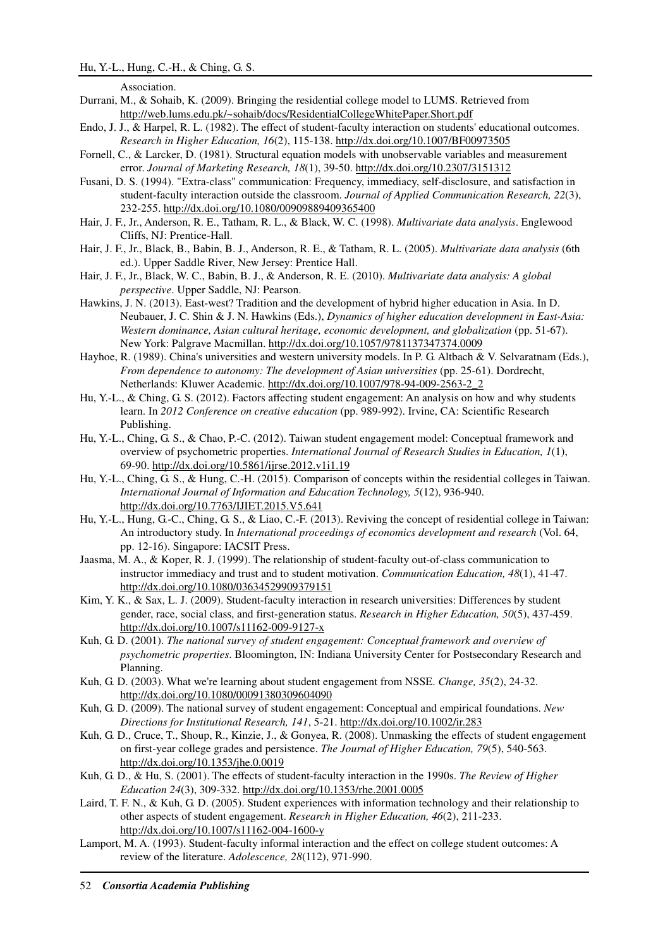Association.

- Durrani, M., & Sohaib, K. (2009). Bringing the residential college model to LUMS. Retrieved from http://web.lums.edu.pk/~sohaib/docs/ResidentialCollegeWhitePaper.Short.pdf
- Endo, J. J., & Harpel, R. L. (1982). The effect of student-faculty interaction on students' educational outcomes. *Research in Higher Education, 16*(2), 115-138. http://dx.doi.org/10.1007/BF00973505
- Fornell, C., & Larcker, D. (1981). Structural equation models with unobservable variables and measurement error. *Journal of Marketing Research, 18*(1), 39-50. http://dx.doi.org/10.2307/3151312
- Fusani, D. S. (1994). "Extra-class" communication: Frequency, immediacy, self-disclosure, and satisfaction in student-faculty interaction outside the classroom. *Journal of Applied Communication Research, 22*(3), 232-255. http://dx.doi.org/10.1080/00909889409365400
- Hair, J. F., Jr., Anderson, R. E., Tatham, R. L., & Black, W. C. (1998). *Multivariate data analysis*. Englewood Cliffs, NJ: Prentice-Hall.
- Hair, J. F., Jr., Black, B., Babin, B. J., Anderson, R. E., & Tatham, R. L. (2005). *Multivariate data analysis* (6th ed.). Upper Saddle River, New Jersey: Prentice Hall.
- Hair, J. F., Jr., Black, W. C., Babin, B. J., & Anderson, R. E. (2010). *Multivariate data analysis: A global perspective*. Upper Saddle, NJ: Pearson.
- Hawkins, J. N. (2013). East-west? Tradition and the development of hybrid higher education in Asia. In D. Neubauer, J. C. Shin & J. N. Hawkins (Eds.), *Dynamics of higher education development in East-Asia: Western dominance, Asian cultural heritage, economic development, and globalization* (pp. 51-67). New York: Palgrave Macmillan. http://dx.doi.org/10.1057/9781137347374.0009
- Hayhoe, R. (1989). China's universities and western university models. In P. G. Altbach & V. Selvaratnam (Eds.), *From dependence to autonomy: The development of Asian universities* (pp. 25-61). Dordrecht, Netherlands: Kluwer Academic. http://dx.doi.org/10.1007/978-94-009-2563-2\_2
- Hu, Y.-L., & Ching, G. S. (2012). Factors affecting student engagement: An analysis on how and why students learn. In *2012 Conference on creative education* (pp. 989-992). Irvine, CA: Scientific Research Publishing.
- Hu, Y.-L., Ching, G. S., & Chao, P.-C. (2012). Taiwan student engagement model: Conceptual framework and overview of psychometric properties. *International Journal of Research Studies in Education, 1*(1), 69-90. http://dx.doi.org/10.5861/ijrse.2012.v1i1.19
- Hu, Y.-L., Ching, G. S., & Hung, C.-H. (2015). Comparison of concepts within the residential colleges in Taiwan. *International Journal of Information and Education Technology, 5*(12), 936-940. http://dx.doi.org/10.7763/IJIET.2015.V5.641
- Hu, Y.-L., Hung, G.-C., Ching, G. S., & Liao, C.-F. (2013). Reviving the concept of residential college in Taiwan: An introductory study. In *International proceedings of economics development and research* (Vol. 64, pp. 12-16). Singapore: IACSIT Press.
- Jaasma, M. A., & Koper, R. J. (1999). The relationship of student-faculty out-of-class communication to instructor immediacy and trust and to student motivation. *Communication Education, 48*(1), 41-47. http://dx.doi.org/10.1080/03634529909379151
- Kim, Y. K., & Sax, L. J. (2009). Student-faculty interaction in research universities: Differences by student gender, race, social class, and first-generation status. *Research in Higher Education, 50*(5), 437-459. http://dx.doi.org/10.1007/s11162-009-9127-x
- Kuh, G. D. (2001). *The national survey of student engagement: Conceptual framework and overview of psychometric properties*. Bloomington, IN: Indiana University Center for Postsecondary Research and Planning.
- Kuh, G. D. (2003). What we're learning about student engagement from NSSE. *Change, 35*(2), 24-32. http://dx.doi.org/10.1080/00091380309604090
- Kuh, G. D. (2009). The national survey of student engagement: Conceptual and empirical foundations. *New Directions for Institutional Research, 141*, 5-21. http://dx.doi.org/10.1002/ir.283
- Kuh, G. D., Cruce, T., Shoup, R., Kinzie, J., & Gonyea, R. (2008). Unmasking the effects of student engagement on first-year college grades and persistence. *The Journal of Higher Education, 79*(5), 540-563. http://dx.doi.org/10.1353/jhe.0.0019
- Kuh, G. D., & Hu, S. (2001). The effects of student-faculty interaction in the 1990s. *The Review of Higher Education 24*(3), 309-332. http://dx.doi.org/10.1353/rhe.2001.0005
- Laird, T. F. N., & Kuh, G. D. (2005). Student experiences with information technology and their relationship to other aspects of student engagement. *Research in Higher Education, 46*(2), 211-233. http://dx.doi.org/10.1007/s11162-004-1600-y
- Lamport, M. A. (1993). Student-faculty informal interaction and the effect on college student outcomes: A review of the literature. *Adolescence, 28*(112), 971-990.